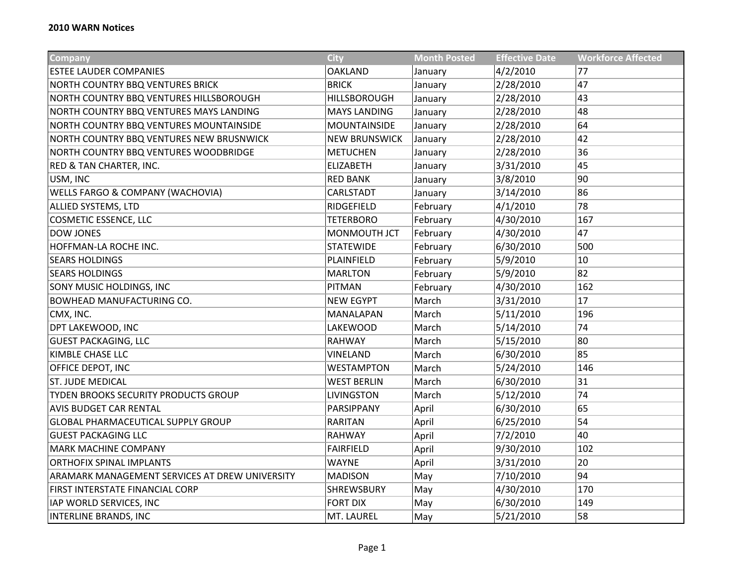| Company                                        | <b>City</b>          | <b>Month Posted</b> | <b>Effective Date</b> | <b>Workforce Affected</b> |
|------------------------------------------------|----------------------|---------------------|-----------------------|---------------------------|
| <b>ESTEE LAUDER COMPANIES</b>                  | <b>OAKLAND</b>       | January             | 4/2/2010              | 77                        |
| <b>NORTH COUNTRY BBQ VENTURES BRICK</b>        | <b>BRICK</b>         | January             | 2/28/2010             | 47                        |
| NORTH COUNTRY BBQ VENTURES HILLSBOROUGH        | <b>HILLSBOROUGH</b>  | January             | 2/28/2010             | 43                        |
| NORTH COUNTRY BBQ VENTURES MAYS LANDING        | <b>MAYS LANDING</b>  | January             | 2/28/2010             | 48                        |
| NORTH COUNTRY BBQ VENTURES MOUNTAINSIDE        | <b>MOUNTAINSIDE</b>  | January             | 2/28/2010             | 64                        |
| NORTH COUNTRY BBQ VENTURES NEW BRUSNWICK       | <b>NEW BRUNSWICK</b> | January             | 2/28/2010             | 42                        |
| NORTH COUNTRY BBQ VENTURES WOODBRIDGE          | <b>METUCHEN</b>      | January             | 2/28/2010             | 36                        |
| RED & TAN CHARTER, INC.                        | <b>ELIZABETH</b>     | January             | 3/31/2010             | 45                        |
| USM, INC                                       | <b>RED BANK</b>      | January             | 3/8/2010              | 90                        |
| WELLS FARGO & COMPANY (WACHOVIA)               | CARLSTADT            | January             | 3/14/2010             | 86                        |
| <b>ALLIED SYSTEMS, LTD</b>                     | RIDGEFIELD           | February            | 4/1/2010              | 78                        |
| <b>COSMETIC ESSENCE, LLC</b>                   | <b>TETERBORO</b>     | February            | 4/30/2010             | 167                       |
| <b>DOW JONES</b>                               | MONMOUTH JCT         | February            | 4/30/2010             | 47                        |
| HOFFMAN-LA ROCHE INC.                          | <b>STATEWIDE</b>     | February            | 6/30/2010             | 500                       |
| <b>SEARS HOLDINGS</b>                          | PLAINFIELD           | February            | 5/9/2010              | 10                        |
| <b>SEARS HOLDINGS</b>                          | <b>MARLTON</b>       | February            | 5/9/2010              | 82                        |
| SONY MUSIC HOLDINGS, INC                       | <b>PITMAN</b>        | February            | 4/30/2010             | 162                       |
| <b>BOWHEAD MANUFACTURING CO.</b>               | <b>NEW EGYPT</b>     | March               | 3/31/2010             | 17                        |
| CMX, INC.                                      | MANALAPAN            | March               | 5/11/2010             | 196                       |
| DPT LAKEWOOD, INC                              | <b>LAKEWOOD</b>      | March               | 5/14/2010             | 74                        |
| <b>GUEST PACKAGING, LLC</b>                    | <b>RAHWAY</b>        | March               | 5/15/2010             | 80                        |
| KIMBLE CHASE LLC                               | VINELAND             | March               | 6/30/2010             | 85                        |
| OFFICE DEPOT, INC                              | <b>WESTAMPTON</b>    | March               | 5/24/2010             | 146                       |
| <b>ST. JUDE MEDICAL</b>                        | <b>WEST BERLIN</b>   | March               | 6/30/2010             | 31                        |
| TYDEN BROOKS SECURITY PRODUCTS GROUP           | <b>LIVINGSTON</b>    | March               | 5/12/2010             | 74                        |
| <b>AVIS BUDGET CAR RENTAL</b>                  | PARSIPPANY           | April               | 6/30/2010             | 65                        |
| <b>GLOBAL PHARMACEUTICAL SUPPLY GROUP</b>      | <b>RARITAN</b>       | April               | 6/25/2010             | 54                        |
| <b>GUEST PACKAGING LLC</b>                     | <b>RAHWAY</b>        | April               | 7/2/2010              | 40                        |
| <b>MARK MACHINE COMPANY</b>                    | <b>FAIRFIELD</b>     | April               | 9/30/2010             | 102                       |
| ORTHOFIX SPINAL IMPLANTS                       | <b>WAYNE</b>         | April               | 3/31/2010             | 20                        |
| ARAMARK MANAGEMENT SERVICES AT DREW UNIVERSITY | <b>MADISON</b>       | May                 | 7/10/2010             | 94                        |
| FIRST INTERSTATE FINANCIAL CORP                | SHREWSBURY           | May                 | 4/30/2010             | 170                       |
| IAP WORLD SERVICES, INC                        | FORT DIX             | May                 | 6/30/2010             | 149                       |
| <b>INTERLINE BRANDS, INC</b>                   | MT. LAUREL           | May                 | 5/21/2010             | 58                        |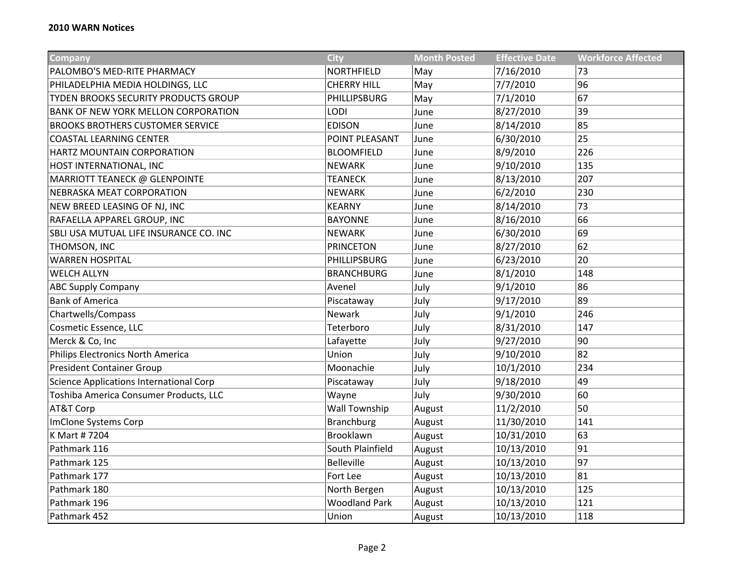| Company                                    | <b>City</b>          | <b>Month Posted</b> | <b>Effective Date</b> | <b>Workforce Affected</b> |
|--------------------------------------------|----------------------|---------------------|-----------------------|---------------------------|
| PALOMBO'S MED-RITE PHARMACY                | NORTHFIELD           | May                 | 7/16/2010             | 73                        |
| PHILADELPHIA MEDIA HOLDINGS, LLC           | <b>CHERRY HILL</b>   | May                 | 7/7/2010              | 96                        |
| TYDEN BROOKS SECURITY PRODUCTS GROUP       | PHILLIPSBURG         | May                 | 7/1/2010              | 67                        |
| <b>BANK OF NEW YORK MELLON CORPORATION</b> | <b>LODI</b>          | June                | 8/27/2010             | 39                        |
| <b>BROOKS BROTHERS CUSTOMER SERVICE</b>    | <b>EDISON</b>        | June                | 8/14/2010             | 85                        |
| <b>COASTAL LEARNING CENTER</b>             | POINT PLEASANT       | June                | 6/30/2010             | 25                        |
| HARTZ MOUNTAIN CORPORATION                 | <b>BLOOMFIELD</b>    | June                | 8/9/2010              | 226                       |
| HOST INTERNATIONAL, INC                    | <b>NEWARK</b>        | June                | 9/10/2010             | 135                       |
| MARRIOTT TEANECK @ GLENPOINTE              | <b>TEANECK</b>       | June                | 8/13/2010             | 207                       |
| NEBRASKA MEAT CORPORATION                  | <b>NEWARK</b>        | June                | 6/2/2010              | 230                       |
| NEW BREED LEASING OF NJ, INC               | <b>KEARNY</b>        | June                | 8/14/2010             | 73                        |
| RAFAELLA APPAREL GROUP, INC                | <b>BAYONNE</b>       | June                | 8/16/2010             | 66                        |
| SBLI USA MUTUAL LIFE INSURANCE CO. INC     | <b>NEWARK</b>        | June                | 6/30/2010             | 69                        |
| THOMSON, INC                               | <b>PRINCETON</b>     | June                | 8/27/2010             | 62                        |
| <b>WARREN HOSPITAL</b>                     | PHILLIPSBURG         | June                | 6/23/2010             | 20                        |
| <b>WELCH ALLYN</b>                         | <b>BRANCHBURG</b>    | June                | 8/1/2010              | 148                       |
| <b>ABC Supply Company</b>                  | Avenel               | July                | 9/1/2010              | 86                        |
| <b>Bank of America</b>                     | Piscataway           | July                | 9/17/2010             | 89                        |
| Chartwells/Compass                         | <b>Newark</b>        | July                | 9/1/2010              | 246                       |
| Cosmetic Essence, LLC                      | Teterboro            | July                | 8/31/2010             | 147                       |
| Merck & Co, Inc                            | Lafayette            | July                | 9/27/2010             | 90                        |
| Philips Electronics North America          | Union                | July                | 9/10/2010             | 82                        |
| <b>President Container Group</b>           | Moonachie            | July                | 10/1/2010             | 234                       |
| Science Applications International Corp    | Piscataway           | July                | 9/18/2010             | 49                        |
| Toshiba America Consumer Products, LLC     | Wayne                | July                | 9/30/2010             | 60                        |
| AT&T Corp                                  | <b>Wall Township</b> | August              | 11/2/2010             | 50                        |
| ImClone Systems Corp                       | <b>Branchburg</b>    | August              | 11/30/2010            | 141                       |
| K Mart #7204                               | Brooklawn            | August              | 10/31/2010            | 63                        |
| Pathmark 116                               | South Plainfield     | August              | 10/13/2010            | 91                        |
| Pathmark 125                               | <b>Belleville</b>    | August              | 10/13/2010            | 97                        |
| Pathmark 177                               | Fort Lee             | August              | 10/13/2010            | 81                        |
| Pathmark 180                               | North Bergen         | August              | 10/13/2010            | 125                       |
| Pathmark 196                               | <b>Woodland Park</b> | August              | 10/13/2010            | 121                       |
| Pathmark 452                               | Union                | August              | 10/13/2010            | 118                       |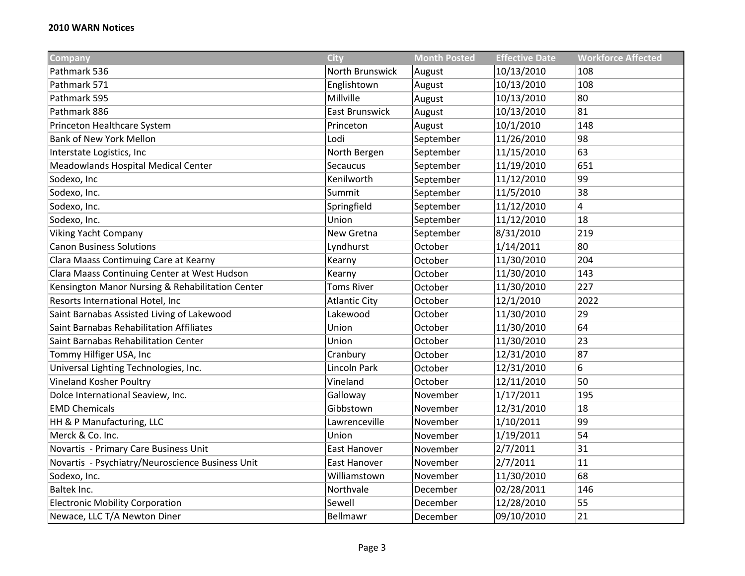| <b>Company</b>                                   | <b>City</b>           | <b>Month Posted</b> | <b>Effective Date</b> | <b>Workforce Affected</b> |
|--------------------------------------------------|-----------------------|---------------------|-----------------------|---------------------------|
| Pathmark 536                                     | North Brunswick       | August              | 10/13/2010            | 108                       |
| Pathmark 571                                     | Englishtown           | August              | 10/13/2010            | 108                       |
| Pathmark 595                                     | Millville             | August              | 10/13/2010            | 80                        |
| Pathmark 886                                     | <b>East Brunswick</b> | August              | 10/13/2010            | 81                        |
| Princeton Healthcare System                      | Princeton             | August              | 10/1/2010             | 148                       |
| <b>Bank of New York Mellon</b>                   | Lodi                  | September           | 11/26/2010            | 98                        |
| Interstate Logistics, Inc                        | North Bergen          | September           | 11/15/2010            | 63                        |
| Meadowlands Hospital Medical Center              | Secaucus              | September           | 11/19/2010            | 651                       |
| Sodexo, Inc                                      | Kenilworth            | September           | 11/12/2010            | 99                        |
| Sodexo, Inc.                                     | Summit                | September           | 11/5/2010             | 38                        |
| Sodexo, Inc.                                     | Springfield           | September           | 11/12/2010            | 4                         |
| Sodexo, Inc.                                     | Union                 | September           | 11/12/2010            | 18                        |
| <b>Viking Yacht Company</b>                      | New Gretna            | September           | 8/31/2010             | 219                       |
| <b>Canon Business Solutions</b>                  | Lyndhurst             | October             | 1/14/2011             | 80                        |
| Clara Maass Contimuing Care at Kearny            | Kearny                | October             | 11/30/2010            | 204                       |
| Clara Maass Continuing Center at West Hudson     | Kearny                | October             | 11/30/2010            | 143                       |
| Kensington Manor Nursing & Rehabilitation Center | <b>Toms River</b>     | October             | 11/30/2010            | 227                       |
| Resorts International Hotel, Inc                 | <b>Atlantic City</b>  | October             | 12/1/2010             | 2022                      |
| Saint Barnabas Assisted Living of Lakewood       | Lakewood              | October             | 11/30/2010            | 29                        |
| Saint Barnabas Rehabilitation Affiliates         | Union                 | October             | 11/30/2010            | 64                        |
| Saint Barnabas Rehabilitation Center             | Union                 | October             | 11/30/2010            | 23                        |
| Tommy Hilfiger USA, Inc                          | Cranbury              | October             | 12/31/2010            | 87                        |
| Universal Lighting Technologies, Inc.            | Lincoln Park          | October             | 12/31/2010            | 6                         |
| Vineland Kosher Poultry                          | Vineland              | October             | 12/11/2010            | 50                        |
| Dolce International Seaview, Inc.                | Galloway              | November            | 1/17/2011             | 195                       |
| <b>EMD Chemicals</b>                             | Gibbstown             | November            | 12/31/2010            | 18                        |
| HH & P Manufacturing, LLC                        | Lawrenceville         | November            | 1/10/2011             | 99                        |
| Merck & Co. Inc.                                 | Union                 | November            | 1/19/2011             | 54                        |
| Novartis - Primary Care Business Unit            | East Hanover          | November            | 2/7/2011              | 31                        |
| Novartis - Psychiatry/Neuroscience Business Unit | East Hanover          | November            | 2/7/2011              | 11                        |
| Sodexo, Inc.                                     | Williamstown          | November            | 11/30/2010            | 68                        |
| Baltek Inc.                                      | Northvale             | December            | 02/28/2011            | 146                       |
| <b>Electronic Mobility Corporation</b>           | Sewell                | December            | 12/28/2010            | 55                        |
| Newace, LLC T/A Newton Diner                     | Bellmawr              | December            | 09/10/2010            | 21                        |